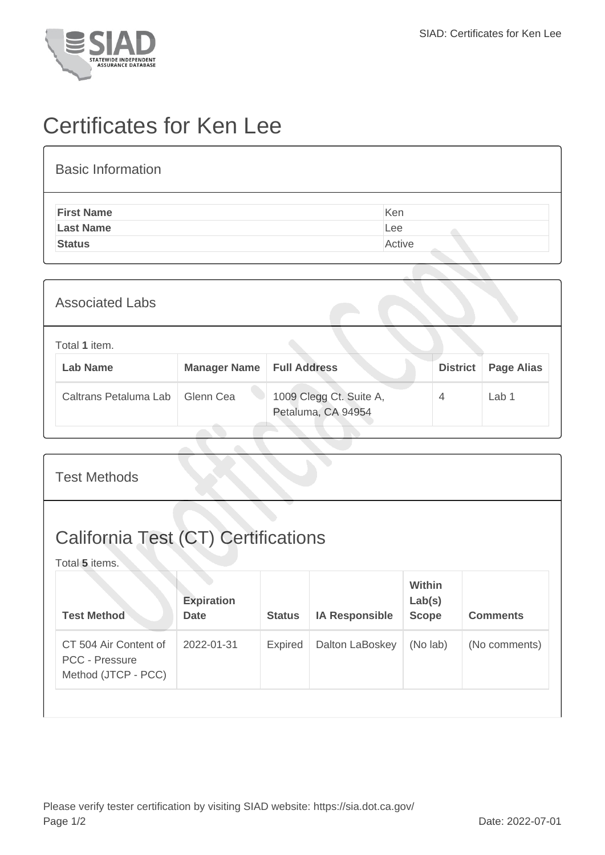

## Certificates for Ken Lee

## Basic Information **First Name** Ken **Last Name** Lee **Status** Active Active Active Active Active Active Active Active

| <b>Associated Labs</b>           |                                    |                                               |                 |                   |
|----------------------------------|------------------------------------|-----------------------------------------------|-----------------|-------------------|
| Total 1 item.<br><b>Lab Name</b> | <b>Manager Name   Full Address</b> |                                               | <b>District</b> | <b>Page Alias</b> |
| Caltrans Petaluma Lab            | Glenn Cea                          | 1009 Clegg Ct. Suite A,<br>Petaluma, CA 94954 | $\overline{4}$  | Lab 1             |

| <b>Test Methods</b>                                                   |                                  |                |                       |                                         |                 |  |  |
|-----------------------------------------------------------------------|----------------------------------|----------------|-----------------------|-----------------------------------------|-----------------|--|--|
| <b>California Test (CT) Certifications</b><br>Total 5 items.          |                                  |                |                       |                                         |                 |  |  |
| <b>Test Method</b>                                                    | <b>Expiration</b><br><b>Date</b> | <b>Status</b>  | <b>IA Responsible</b> | <b>Within</b><br>Lab(s)<br><b>Scope</b> | <b>Comments</b> |  |  |
| CT 504 Air Content of<br><b>PCC - Pressure</b><br>Method (JTCP - PCC) | 2022-01-31                       | <b>Expired</b> | Dalton LaBoskey       | (No lab)                                | (No comments)   |  |  |